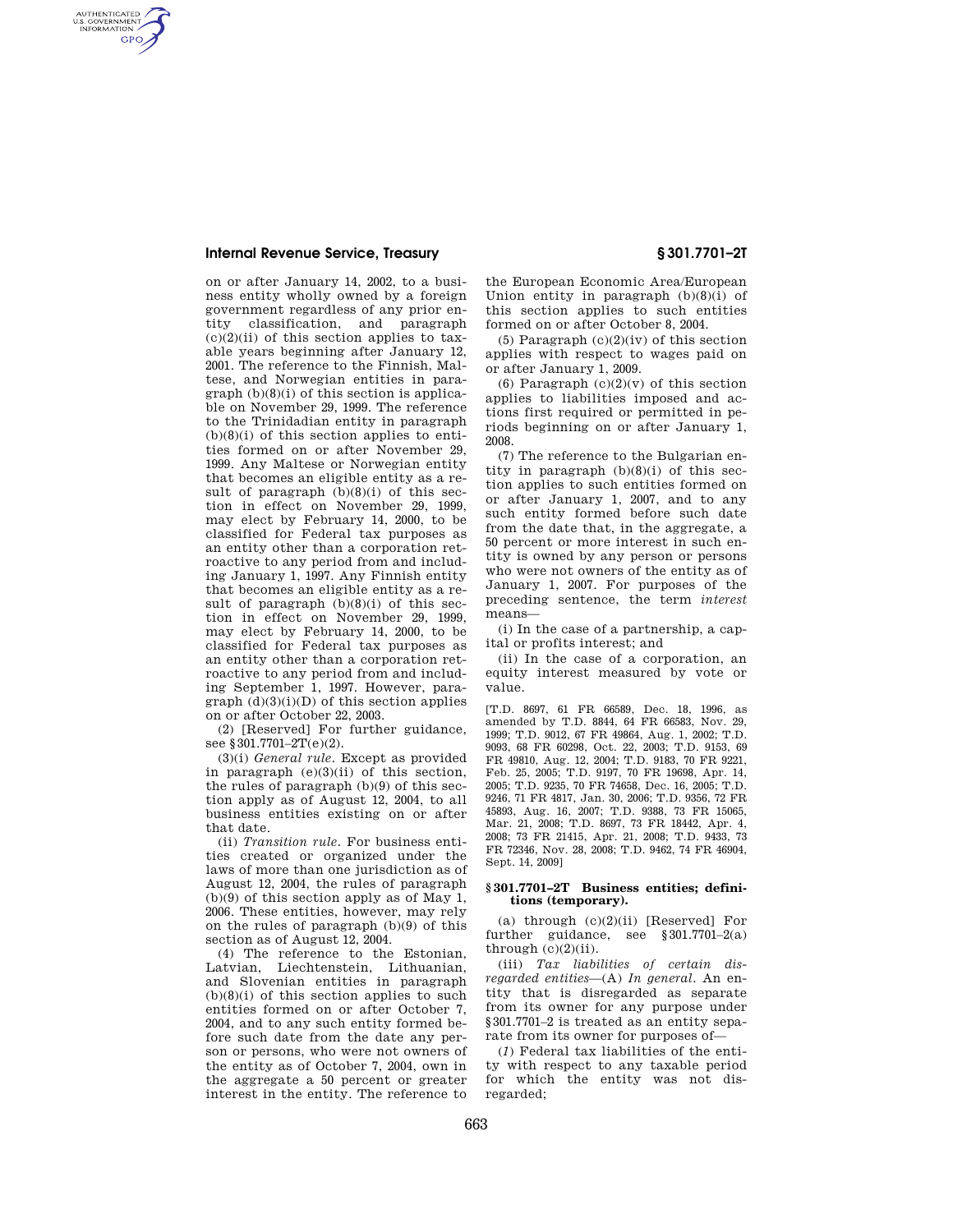## **Internal Revenue Service, Treasury § 301.7701–2T**

AUTHENTICATED<br>U.S. GOVERNMENT<br>INFORMATION **GPO** 

on or after January 14, 2002, to a business entity wholly owned by a foreign government regardless of any prior entity classification, and paragraph  $(c)(2)(ii)$  of this section applies to taxable years beginning after January 12, 2001. The reference to the Finnish, Maltese, and Norwegian entities in para $graph (b)(8)(i)$  of this section is applicable on November 29, 1999. The reference to the Trinidadian entity in paragraph  $(b)(8)(i)$  of this section applies to entities formed on or after November 29, 1999. Any Maltese or Norwegian entity that becomes an eligible entity as a result of paragraph  $(b)(8)(i)$  of this section in effect on November 29, 1999, may elect by February 14, 2000, to be classified for Federal tax purposes as an entity other than a corporation retroactive to any period from and including January 1, 1997. Any Finnish entity that becomes an eligible entity as a result of paragraph  $(b)(8)(i)$  of this section in effect on November 29, 1999, may elect by February 14, 2000, to be classified for Federal tax purposes as an entity other than a corporation retroactive to any period from and including September 1, 1997. However, paragraph  $(d)(3)(i)(D)$  of this section applies on or after October 22, 2003.

(2) [Reserved] For further guidance, see §301.7701-2T(e)(2).

(3)(i) *General rule.* Except as provided in paragraph (e)(3)(ii) of this section, the rules of paragraph (b)(9) of this section apply as of August 12, 2004, to all business entities existing on or after that date.

(ii) *Transition rule.* For business entities created or organized under the laws of more than one jurisdiction as of August 12, 2004, the rules of paragraph (b)(9) of this section apply as of May 1, 2006. These entities, however, may rely on the rules of paragraph (b)(9) of this section as of August 12, 2004.

(4) The reference to the Estonian, Latvian, Liechtenstein, Lithuanian, and Slovenian entities in paragraph  $(b)(8)(i)$  of this section applies to such entities formed on or after October 7, 2004, and to any such entity formed before such date from the date any person or persons, who were not owners of the entity as of October 7, 2004, own in the aggregate a 50 percent or greater interest in the entity. The reference to

the European Economic Area/European Union entity in paragraph  $(b)(8)(i)$  of this section applies to such entities formed on or after October 8, 2004.

(5) Paragraph  $(c)(2)(iv)$  of this section applies with respect to wages paid on or after January 1, 2009.

(6) Paragraph  $(c)(2)(v)$  of this section applies to liabilities imposed and actions first required or permitted in periods beginning on or after January 1, 2008.

(7) The reference to the Bulgarian entity in paragraph (b)(8)(i) of this section applies to such entities formed on or after January 1, 2007, and to any such entity formed before such date from the date that, in the aggregate, a 50 percent or more interest in such entity is owned by any person or persons who were not owners of the entity as of January 1, 2007. For purposes of the preceding sentence, the term *interest*  means—

(i) In the case of a partnership, a capital or profits interest; and

(ii) In the case of a corporation, an equity interest measured by vote or value.

[T.D. 8697, 61 FR 66589, Dec. 18, 1996, as amended by T.D. 8844, 64 FR 66583, Nov. 29, 1999; T.D. 9012, 67 FR 49864, Aug. 1, 2002; T.D. 9093, 68 FR 60298, Oct. 22, 2003; T.D. 9153, 69 FR 49810, Aug. 12, 2004; T.D. 9183, 70 FR 9221, Feb. 25, 2005; T.D. 9197, 70 FR 19698, Apr. 14, 2005; T.D. 9235, 70 FR 74658, Dec. 16, 2005; T.D. 9246, 71 FR 4817, Jan. 30, 2006; T.D. 9356, 72 FR 45893, Aug. 16, 2007; T.D. 9388, 73 FR 15065, Mar. 21, 2008; T.D. 8697, 73 FR 18442, Apr. 4, 2008; 73 FR 21415, Apr. 21, 2008; T.D. 9433, 73 FR 72346, Nov. 28, 2008; T.D. 9462, 74 FR 46904, Sept. 14, 2009]

## **§ 301.7701–2T Business entities; definitions (temporary).**

(a) through  $(c)(2)(ii)$  [Reserved] For further guidance, see §301.7701–2(a) through  $(c)(2)(ii)$ .

(iii) *Tax liabilities of certain disregarded entities*—(A) *In general.* An entity that is disregarded as separate from its owner for any purpose under §301.7701–2 is treated as an entity separate from its owner for purposes of—

(*1*) Federal tax liabilities of the entity with respect to any taxable period for which the entity was not disregarded;